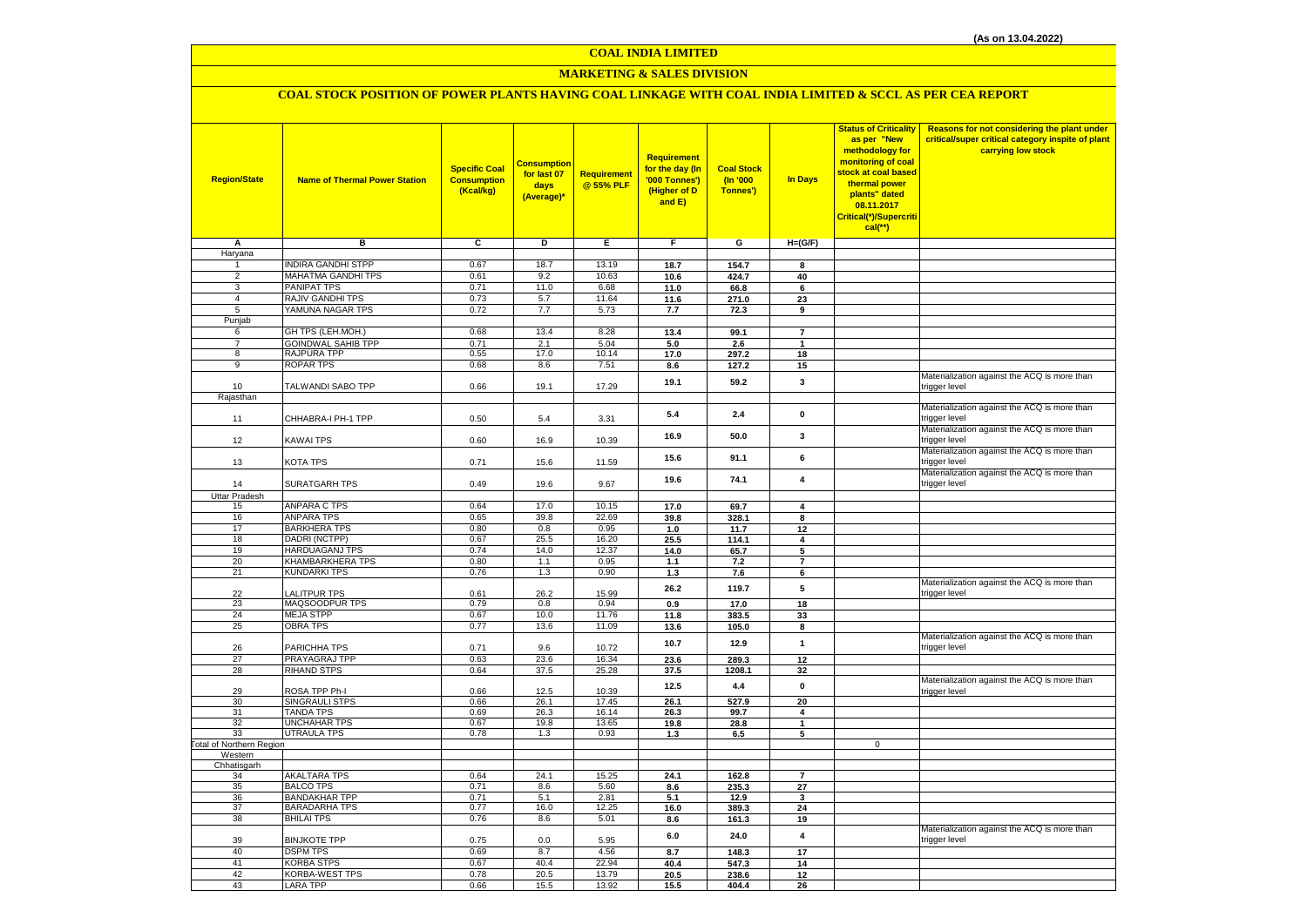# **MARKETING & SALES DIVISION**

# **COAL STOCK POSITION OF POWER PLANTS HAVING COAL LINKAGE WITH COAL INDIA LIMITED & SCCL AS PER CEA REPORT**

| <b>Region/State</b>              | <b>Name of Thermal Power Station</b>     | <b>Specific Coal</b><br><b>Consumption</b><br>(Kcal/kg) | Consumption<br>for last 07<br>days<br>(Average)* | Requirement<br>@ 55% PLF | Requirement<br>for the day (In<br>'000 Tonnes')<br>(Higher of D<br>and E) | <b>Coal Stock</b><br>(In '000<br>Tonnes') | <b>In Days</b>          | <b>Status of Criticality</b><br>as per "New<br>methodology for<br>monitoring of coal<br>stock at coal based<br>thermal power<br>plants" dated<br>08.11.2017<br>Critical(*)/Supercriti<br>$cal$ (**) | Reasons for not considering the plant under<br>critical/super critical category inspite of plant<br>carrying low stock |
|----------------------------------|------------------------------------------|---------------------------------------------------------|--------------------------------------------------|--------------------------|---------------------------------------------------------------------------|-------------------------------------------|-------------------------|-----------------------------------------------------------------------------------------------------------------------------------------------------------------------------------------------------|------------------------------------------------------------------------------------------------------------------------|
| Α                                | в                                        | c                                                       | D                                                | Е                        | F.                                                                        | G                                         | $H=(G/F)$               |                                                                                                                                                                                                     |                                                                                                                        |
| Haryana                          |                                          |                                                         |                                                  |                          |                                                                           |                                           |                         |                                                                                                                                                                                                     |                                                                                                                        |
| 1                                | <b>INDIRA GANDHI STPP</b>                | 0.67                                                    | 18.7                                             | 13.19                    | 18.7                                                                      | 154.7                                     | 8                       |                                                                                                                                                                                                     |                                                                                                                        |
| $\overline{2}$                   | MAHATMA GANDHI TPS                       | 0.61                                                    | 9.2                                              | 10.63                    | 10.6                                                                      | 424.7                                     | 40                      |                                                                                                                                                                                                     |                                                                                                                        |
| $\overline{3}$<br>$\overline{4}$ | PANIPAT TPS<br>RAJIV GANDHI TPS          | 0.71<br>0.73                                            | 11.0<br>5.7                                      | 6.68<br>11.64            | 11.0                                                                      | 66.8                                      | 6                       |                                                                                                                                                                                                     |                                                                                                                        |
| 5                                | YAMUNA NAGAR TPS                         | 0.72                                                    | 7.7                                              | 5.73                     | 11.6                                                                      | 271.0                                     | 23<br>9                 |                                                                                                                                                                                                     |                                                                                                                        |
| Punjab                           |                                          |                                                         |                                                  |                          | 7.7                                                                       | 72.3                                      |                         |                                                                                                                                                                                                     |                                                                                                                        |
| 6                                | GH TPS (LEH.MOH.)                        | 0.68                                                    | 13.4                                             | 8.28                     | 13.4                                                                      | 99.1                                      | $\overline{7}$          |                                                                                                                                                                                                     |                                                                                                                        |
| $\overline{7}$                   | <b>GOINDWAL SAHIB TPP</b>                | 0.71                                                    | 2.1                                              | 5.04                     | 5.0                                                                       | 2.6                                       | $\mathbf{1}$            |                                                                                                                                                                                                     |                                                                                                                        |
| 8                                | RAJPURA TPP                              | 0.55                                                    | 17.0                                             | 10.14                    | 17.0                                                                      | 297.2                                     | 18                      |                                                                                                                                                                                                     |                                                                                                                        |
| $\overline{9}$                   | <b>ROPAR TPS</b>                         | 0.68                                                    | 8.6                                              | 7.51                     | 8.6                                                                       | 127.2                                     | 15                      |                                                                                                                                                                                                     |                                                                                                                        |
| 10                               | TALWANDI SABO TPP                        | 0.66                                                    | 19.1                                             | 17.29                    | 19.1                                                                      | 59.2                                      | 3                       |                                                                                                                                                                                                     | Materialization against the ACQ is more than<br>trigger level                                                          |
| Rajasthan                        |                                          |                                                         |                                                  |                          |                                                                           |                                           |                         |                                                                                                                                                                                                     |                                                                                                                        |
| 11                               | CHHABRA-I PH-1 TPP                       | 0.50                                                    | 5.4                                              | 3.31                     | 5.4                                                                       | 2.4                                       | $\pmb{0}$               |                                                                                                                                                                                                     | Materialization against the ACQ is more than<br>trigger level                                                          |
| 12                               | KAWAI TPS                                | 0.60                                                    | 16.9                                             | 10.39                    | 16.9                                                                      | 50.0                                      | 3                       |                                                                                                                                                                                                     | Materialization against the ACQ is more than<br>trigger level                                                          |
| 13                               | KOTA TPS                                 | 0.71                                                    | 15.6                                             | 11.59                    | 15.6                                                                      | 91.1                                      | 6                       |                                                                                                                                                                                                     | Materialization against the ACQ is more than<br>trigger level                                                          |
| 14                               | <b>SURATGARH TPS</b>                     | 0.49                                                    | 19.6                                             | 9.67                     | 19.6                                                                      | 74.1                                      | $\overline{\mathbf{4}}$ |                                                                                                                                                                                                     | Materialization against the ACQ is more than<br>trigger level                                                          |
| <b>Uttar Pradesh</b>             |                                          |                                                         |                                                  |                          |                                                                           |                                           |                         |                                                                                                                                                                                                     |                                                                                                                        |
| 15                               | <b>ANPARA C TPS</b>                      | 0.64                                                    | 17.0                                             | 10.15                    | 17.0                                                                      | 69.7                                      | 4                       |                                                                                                                                                                                                     |                                                                                                                        |
| 16                               | <b>ANPARA TPS</b>                        | 0.65                                                    | 39.8                                             | 22.69                    | 39.8                                                                      | 328.1                                     | 8                       |                                                                                                                                                                                                     |                                                                                                                        |
| 17<br>18                         | <b>BARKHERA TPS</b><br>DADRI (NCTPP)     | 0.80<br>0.67                                            | 0.8<br>25.5                                      | 0.95<br>16.20            | 1.0<br>25.5                                                               | 11.7                                      | 12<br>4                 |                                                                                                                                                                                                     |                                                                                                                        |
| 19                               | HARDUAGANJ TPS                           | 0.74                                                    | 14.0                                             | 12.37                    | 14.0                                                                      | 114.1<br>65.7                             | 5                       |                                                                                                                                                                                                     |                                                                                                                        |
| 20                               | KHAMBARKHERA TPS                         | 0.80                                                    | 1.1                                              | 0.95                     | 1.1                                                                       | 7.2                                       | $\overline{7}$          |                                                                                                                                                                                                     |                                                                                                                        |
| 21                               | <b>KUNDARKI TPS</b>                      | 0.76                                                    | 1.3                                              | 0.90                     | $1.3$                                                                     | 7.6                                       | 6                       |                                                                                                                                                                                                     |                                                                                                                        |
| 22                               | <b>ALITPUR TPS</b>                       | 0.61                                                    | 26.2                                             | 15.99                    | 26.2                                                                      | 119.7                                     | 5                       |                                                                                                                                                                                                     | Materialization against the ACQ is more than<br>trigger level                                                          |
| 23                               | MAQSOODPUR TPS                           | 0.79                                                    | 0.8                                              | 0.94                     | 0.9                                                                       | 17.0                                      | 18                      |                                                                                                                                                                                                     |                                                                                                                        |
| 24                               | <b>MEJA STPP</b>                         | 0.67                                                    | 10.0                                             | 11.76                    | 11.8                                                                      | 383.5                                     | 33                      |                                                                                                                                                                                                     |                                                                                                                        |
| 25                               | <b>OBRA TPS</b>                          | 0.77                                                    | 13.6                                             | 11.09                    | 13.6                                                                      | 105.0                                     | 8                       |                                                                                                                                                                                                     |                                                                                                                        |
| 26                               | PARICHHA TPS                             | 0.71                                                    | 9.6                                              | 10.72                    | 10.7                                                                      | 12.9                                      | $\mathbf{1}$            |                                                                                                                                                                                                     | Materialization against the ACQ is more than<br>trigger level                                                          |
| 27                               | PRAYAGRAJ TPP                            | 0.63                                                    | 23.6                                             | 16.34                    | 23.6                                                                      | 289.3                                     | 12                      |                                                                                                                                                                                                     |                                                                                                                        |
| 28                               | <b>RIHAND STPS</b>                       | 0.64                                                    | 37.5                                             | 25.28                    | 37.5                                                                      | 1208.1                                    | 32                      |                                                                                                                                                                                                     |                                                                                                                        |
| 29                               | ROSA TPP Ph-I                            | 0.66                                                    | 12.5                                             | 10.39                    | 12.5                                                                      | 4.4                                       | $\mathbf{0}$            |                                                                                                                                                                                                     | Materialization against the ACQ is more than<br>trigger level                                                          |
| 30                               | SINGRAULI STPS                           | 0.66                                                    | 26.1                                             | 17.45                    | 26.1                                                                      | 527.9                                     | 20                      |                                                                                                                                                                                                     |                                                                                                                        |
| 31<br>32                         | <b>TANDA TPS</b><br>UNCHAHAR TPS         | 0.69<br>0.67                                            | 26.3<br>19.8                                     | 16.14<br>13.65           | 26.3<br>19.8                                                              | 99.7<br>28.8                              | 4<br>$\mathbf{1}$       |                                                                                                                                                                                                     |                                                                                                                        |
| 33                               | <b>UTRAULA TPS</b>                       | 0.78                                                    | 1.3                                              | 0.93                     | 1.3                                                                       | 6.5                                       | 5                       |                                                                                                                                                                                                     |                                                                                                                        |
| <b>Total of Northern Region</b>  |                                          |                                                         |                                                  |                          |                                                                           |                                           |                         | $\mathbf 0$                                                                                                                                                                                         |                                                                                                                        |
| Western                          |                                          |                                                         |                                                  |                          |                                                                           |                                           |                         |                                                                                                                                                                                                     |                                                                                                                        |
| Chhatisgarh                      |                                          |                                                         |                                                  |                          |                                                                           |                                           |                         |                                                                                                                                                                                                     |                                                                                                                        |
| 34                               | <b>AKALTARA TPS</b>                      | 0.64                                                    | 24.1                                             | 15.25                    | 24.1                                                                      | 162.8                                     | $\overline{7}$          |                                                                                                                                                                                                     |                                                                                                                        |
| 35<br>36                         | <b>BALCO TPS</b><br><b>BANDAKHAR TPP</b> | 0.71<br>0.71                                            | 8.6<br>5.1                                       | 5.60<br>2.81             | 8.6<br>5.1                                                                | 235.3<br>12.9                             | 27<br>3                 |                                                                                                                                                                                                     |                                                                                                                        |
| 37                               | <b>BARADARHA TPS</b>                     | 0.77                                                    | 16.0                                             | 12.25                    | 16.0                                                                      | 389.3                                     | 24                      |                                                                                                                                                                                                     |                                                                                                                        |
| 38                               | <b>BHILAI TPS</b>                        | 0.76                                                    | 8.6                                              | 5.01                     | 8.6                                                                       | 161.3                                     | 19                      |                                                                                                                                                                                                     |                                                                                                                        |
| 39                               | <b>BINJKOTE TPP</b>                      | 0.75                                                    | 0.0                                              | 5.95                     | 6.0                                                                       | 24.0                                      | 4                       |                                                                                                                                                                                                     | Materialization against the ACQ is more than<br>trigger level                                                          |
| 40                               | <b>DSPM TPS</b>                          | 0.69                                                    | 8.7                                              | 4.56                     | 8.7                                                                       | 148.3                                     | 17                      |                                                                                                                                                                                                     |                                                                                                                        |
| 41                               | <b>KORBA STPS</b>                        | 0.67                                                    | 40.4                                             | 22.94                    | 40.4                                                                      | 547.3                                     | 14                      |                                                                                                                                                                                                     |                                                                                                                        |
| 42                               | KORBA-WEST TPS                           | 0.78                                                    | 20.5                                             | 13.79                    | 20.5                                                                      | 238.6                                     | 12                      |                                                                                                                                                                                                     |                                                                                                                        |
| 43                               | <b>LARA TPP</b>                          | 0.66                                                    | 15.5                                             | 13.92                    | 15.5                                                                      | 404.4                                     | 26                      |                                                                                                                                                                                                     |                                                                                                                        |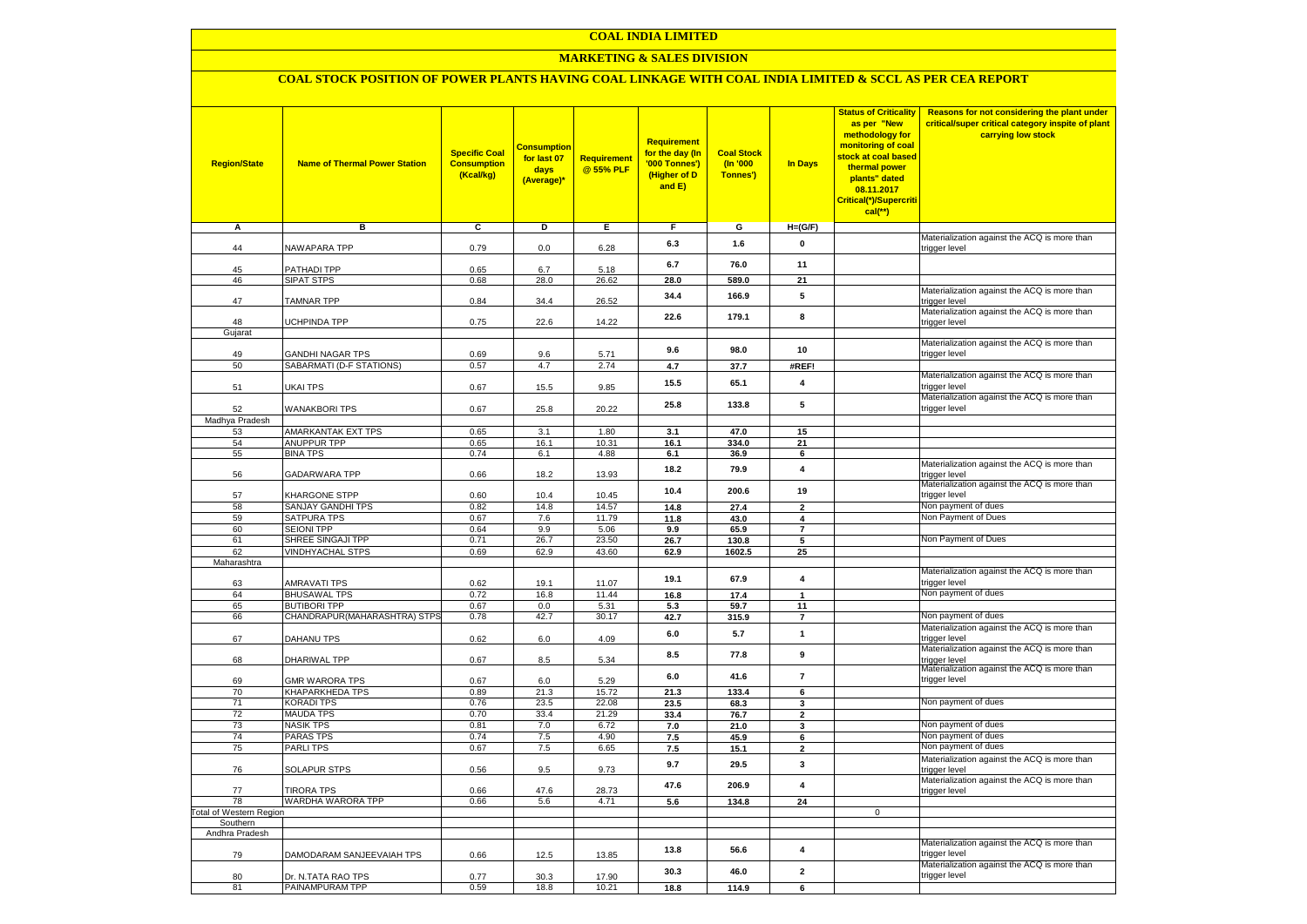## **MARKETING & SALES DIVISION**

## **COAL STOCK POSITION OF POWER PLANTS HAVING COAL LINKAGE WITH COAL INDIA LIMITED & SCCL AS PER CEA REPORT**

| <b>Region/State</b>        | <b>Name of Thermal Power Station</b>                | <b>Specific Coal</b><br><b>Consumption</b><br>(Kcal/kg) | <mark>Consumption</mark><br>for last 07<br>days<br>(Average)* | <b>Requirement</b><br>@ 55% PLF | <b>Requirement</b><br>for the day (In<br>'000 Tonnes')<br>(Higher of D<br>and E) | <b>Coal Stock</b><br>$($ ln '000<br>Tonnes') | In Days                 | <b>Status of Criticality</b><br>as per "New<br>methodology for<br>monitoring of coal<br>stock at coal based<br>thermal power<br>plants" dated<br>08.11.2017<br>Critical(*)/Supercriti<br>$cal$ (**) | Reasons for not considering the plant under<br>critical/super critical category inspite of plant<br>carrying low stock |
|----------------------------|-----------------------------------------------------|---------------------------------------------------------|---------------------------------------------------------------|---------------------------------|----------------------------------------------------------------------------------|----------------------------------------------|-------------------------|-----------------------------------------------------------------------------------------------------------------------------------------------------------------------------------------------------|------------------------------------------------------------------------------------------------------------------------|
| Α                          | в                                                   | С                                                       | D                                                             | Е                               | F.                                                                               | G                                            | $H=(G/F)$               |                                                                                                                                                                                                     |                                                                                                                        |
| 44                         | <b>VAWAPARA TPP</b>                                 | 0.79                                                    | 0.0                                                           | 6.28                            | 6.3                                                                              | 1.6                                          | 0                       |                                                                                                                                                                                                     | Materialization against the ACQ is more than<br>trigger level                                                          |
|                            |                                                     |                                                         |                                                               |                                 | 6.7                                                                              | 76.0                                         | 11                      |                                                                                                                                                                                                     |                                                                                                                        |
| 45<br>46                   | <b>PATHADI TPP</b><br>SIPAT STPS                    | 0.65<br>0.68                                            | 6.7<br>28.0                                                   | 5.18<br>26.62                   | 28.0                                                                             | 589.0                                        | 21                      |                                                                                                                                                                                                     |                                                                                                                        |
|                            |                                                     |                                                         |                                                               |                                 |                                                                                  |                                              |                         |                                                                                                                                                                                                     | Materialization against the ACQ is more than                                                                           |
| 47                         | <b>TAMNAR TPP</b>                                   | 0.84                                                    | 34.4                                                          | 26.52                           | 34.4                                                                             | 166.9                                        | 5                       |                                                                                                                                                                                                     | trigger level                                                                                                          |
| 48                         | <b>JCHPINDA TPP</b>                                 | 0.75                                                    | 22.6                                                          | 14.22                           | 22.6                                                                             | 179.1                                        | 8                       |                                                                                                                                                                                                     | Materialization against the ACQ is more than<br>trigger level                                                          |
| Gujarat                    |                                                     |                                                         |                                                               |                                 |                                                                                  |                                              |                         |                                                                                                                                                                                                     |                                                                                                                        |
|                            |                                                     |                                                         |                                                               |                                 | 9.6                                                                              | 98.0                                         | 10                      |                                                                                                                                                                                                     | Materialization against the ACQ is more than                                                                           |
| 49<br>50                   | <b>GANDHI NAGAR TPS</b><br>SABARMATI (D-F STATIONS) | 0.69<br>0.57                                            | 9.6<br>4.7                                                    | 5.71<br>2.74                    | 4.7                                                                              | 37.7                                         | #REF!                   |                                                                                                                                                                                                     | trigger level                                                                                                          |
|                            |                                                     |                                                         |                                                               |                                 |                                                                                  |                                              |                         |                                                                                                                                                                                                     | Materialization against the ACQ is more than                                                                           |
| 51                         | <b>JKAI TPS</b>                                     | 0.67                                                    | 15.5                                                          | 9.85                            | 15.5                                                                             | 65.1                                         | 4                       |                                                                                                                                                                                                     | trigger level                                                                                                          |
|                            |                                                     |                                                         |                                                               |                                 | 25.8                                                                             | 133.8                                        | 5                       |                                                                                                                                                                                                     | Materialization against the ACQ is more than<br>trigger level                                                          |
| 52<br>Madhya Pradesh       | <b>WANAKBORI TPS</b>                                | 0.67                                                    | 25.8                                                          | 20.22                           |                                                                                  |                                              |                         |                                                                                                                                                                                                     |                                                                                                                        |
| 53                         | AMARKANTAK EXT TPS                                  | 0.65                                                    | 3.1                                                           | 1.80                            | 3.1                                                                              | 47.0                                         | 15                      |                                                                                                                                                                                                     |                                                                                                                        |
| 54                         | <b>ANUPPUR TPP</b>                                  | 0.65                                                    | 16.1                                                          | 10.31                           | 16.1                                                                             | 334.0                                        | 21                      |                                                                                                                                                                                                     |                                                                                                                        |
| 55                         | <b>BINA TPS</b>                                     | 0.74                                                    | 6.1                                                           | 4.88                            | 6.1                                                                              | 36.9                                         | 6                       |                                                                                                                                                                                                     |                                                                                                                        |
| 56                         | GADARWARA TPP                                       | 0.66                                                    | 18.2                                                          | 13.93                           | 18.2                                                                             | 79.9                                         | $\overline{\mathbf{4}}$ |                                                                                                                                                                                                     | Materialization against the ACQ is more than<br>trigger level                                                          |
| 57                         | KHARGONE STPP                                       | 0.60                                                    | 10.4                                                          | 10.45                           | 10.4                                                                             | 200.6                                        | 19                      |                                                                                                                                                                                                     | Materialization against the ACQ is more than<br>trigger level                                                          |
| 58                         | SANJAY GANDHI TPS                                   | 0.82                                                    | 14.8                                                          | 14.57                           | 14.8                                                                             | 27.4                                         | $\overline{2}$          |                                                                                                                                                                                                     | Non payment of dues                                                                                                    |
| 59                         | SATPURA TPS                                         | 0.67                                                    | 7.6                                                           | 11.79                           | 11.8                                                                             | 43.0                                         | 4                       |                                                                                                                                                                                                     | Non Payment of Dues                                                                                                    |
| 60                         | <b>SEIONI TPP</b>                                   | 0.64                                                    | 9.9                                                           | 5.06                            | 9.9                                                                              | 65.9                                         | $\overline{7}$          |                                                                                                                                                                                                     |                                                                                                                        |
| 61                         | SHREE SINGAJI TPP                                   | 0.71                                                    | 26.7                                                          | 23.50                           | 26.7                                                                             | 130.8                                        | 5                       |                                                                                                                                                                                                     | Non Payment of Dues                                                                                                    |
| 62                         | <b>VINDHYACHAL STPS</b>                             | 0.69                                                    | 62.9                                                          | 43.60                           | 62.9                                                                             | 1602.5                                       | 25                      |                                                                                                                                                                                                     |                                                                                                                        |
| Maharashtra                |                                                     |                                                         |                                                               |                                 |                                                                                  |                                              |                         |                                                                                                                                                                                                     |                                                                                                                        |
|                            | <b>AMRAVATI TPS</b>                                 |                                                         |                                                               |                                 | 19.1                                                                             | 67.9                                         | 4                       |                                                                                                                                                                                                     | Materialization against the ACQ is more than<br>trigger level                                                          |
| 63<br>64                   | <b>BHUSAWAL TPS</b>                                 | 0.62<br>0.72                                            | 19.1<br>16.8                                                  | 11.07<br>11.44                  | 16.8                                                                             | 17.4                                         | $\mathbf{1}$            |                                                                                                                                                                                                     | Non payment of dues                                                                                                    |
| 65                         | <b>BUTIBORI TPP</b>                                 | 0.67                                                    | 0.0                                                           | 5.31                            | 5.3                                                                              | 59.7                                         | 11                      |                                                                                                                                                                                                     |                                                                                                                        |
| 66                         | CHANDRAPUR(MAHARASHTRA) STPS                        | 0.78                                                    | 42.7                                                          | 30.17                           | 42.7                                                                             | 315.9                                        | $\overline{7}$          |                                                                                                                                                                                                     | Non payment of dues                                                                                                    |
|                            |                                                     |                                                         |                                                               |                                 |                                                                                  |                                              |                         |                                                                                                                                                                                                     | Materialization against the ACQ is more than                                                                           |
| 67                         | DAHANU TPS                                          | 0.62                                                    | $6.0\,$                                                       | 4.09                            | 6.0                                                                              | 5.7                                          | $\mathbf{1}$            |                                                                                                                                                                                                     | trigger level                                                                                                          |
| 68                         | DHARIWAL TPP                                        | 0.67                                                    | 8.5                                                           | 5.34                            | 8.5                                                                              | 77.8                                         | 9                       |                                                                                                                                                                                                     | Materialization against the ACQ is more than<br>trigger level                                                          |
| 69                         | <b>GMR WARORA TPS</b>                               | 0.67                                                    | $6.0\,$                                                       | 5.29                            | 6.0                                                                              | 41.6                                         | $\overline{7}$          |                                                                                                                                                                                                     | Materialization against the ACQ is more than<br>trigger level                                                          |
| 70                         | <b>KHAPARKHEDA TPS</b>                              | 0.89                                                    | 21.3                                                          | 15.72                           | 21.3                                                                             | 133.4                                        | 6                       |                                                                                                                                                                                                     |                                                                                                                        |
| 71                         | <b>KORADI TPS</b>                                   | 0.76                                                    | 23.5                                                          | 22.08                           | 23.5                                                                             | 68.3                                         | 3                       |                                                                                                                                                                                                     | Non payment of dues                                                                                                    |
| 72                         | <b>MAUDA TPS</b>                                    | 0.70                                                    | 33.4                                                          | 21.29                           | 33.4                                                                             | 76.7                                         | $\overline{2}$          |                                                                                                                                                                                                     |                                                                                                                        |
| 73                         | <b>NASIK TPS</b>                                    | 0.81                                                    | 7.0                                                           | 6.72                            | 7.0                                                                              | 21.0                                         | 3                       |                                                                                                                                                                                                     | Non payment of dues                                                                                                    |
| 74                         | <b>PARAS TPS</b>                                    | 0.74                                                    | 7.5                                                           | 4.90                            | $7.5$                                                                            | 45.9                                         | 6                       |                                                                                                                                                                                                     | Non payment of dues<br>Non payment of dues                                                                             |
| 75                         | <b>PARLITPS</b>                                     | 0.67                                                    | 7.5                                                           | 6.65                            | 7.5                                                                              | 15.1                                         | $\overline{2}$          |                                                                                                                                                                                                     | Materialization against the ACQ is more than                                                                           |
| 76                         | <b>SOLAPUR STPS</b>                                 | 0.56                                                    | 9.5                                                           | 9.73                            | 9.7                                                                              | 29.5                                         | 3                       |                                                                                                                                                                                                     | trigger level                                                                                                          |
| 77                         | <b>TIRORA TPS</b>                                   | 0.66                                                    | 47.6                                                          | 28.73                           | 47.6                                                                             | 206.9                                        | $\overline{\mathbf{4}}$ |                                                                                                                                                                                                     | Materialization against the ACQ is more than<br>trigger level                                                          |
| 78                         | WARDHA WARORA TPP                                   | 0.66                                                    | 5.6                                                           | 4.71                            | 5.6                                                                              | 134.8                                        | 24                      |                                                                                                                                                                                                     |                                                                                                                        |
| otal of Western Region     |                                                     |                                                         |                                                               |                                 |                                                                                  |                                              |                         | $\mathbf 0$                                                                                                                                                                                         |                                                                                                                        |
| Southern<br>Andhra Pradesh |                                                     |                                                         |                                                               |                                 |                                                                                  |                                              |                         |                                                                                                                                                                                                     |                                                                                                                        |
|                            |                                                     |                                                         |                                                               |                                 |                                                                                  |                                              |                         |                                                                                                                                                                                                     | Materialization against the ACQ is more than                                                                           |
| 79                         | DAMODARAM SANJEEVAIAH TPS                           | 0.66                                                    | 12.5                                                          | 13.85                           | 13.8                                                                             | 56.6                                         | 4                       |                                                                                                                                                                                                     | trigger level<br>Materialization against the ACQ is more than                                                          |
| 80                         | Dr. N.TATA RAO TPS                                  | 0.77                                                    | 30.3                                                          | 17.90                           | 30.3                                                                             | 46.0                                         | $\mathbf{2}$            |                                                                                                                                                                                                     | trigger level                                                                                                          |
| 81                         | PAINAMPURAM TPP                                     | 0.59                                                    | 18.8                                                          | 10.21                           | 18.8                                                                             | 114.9                                        | 6                       |                                                                                                                                                                                                     |                                                                                                                        |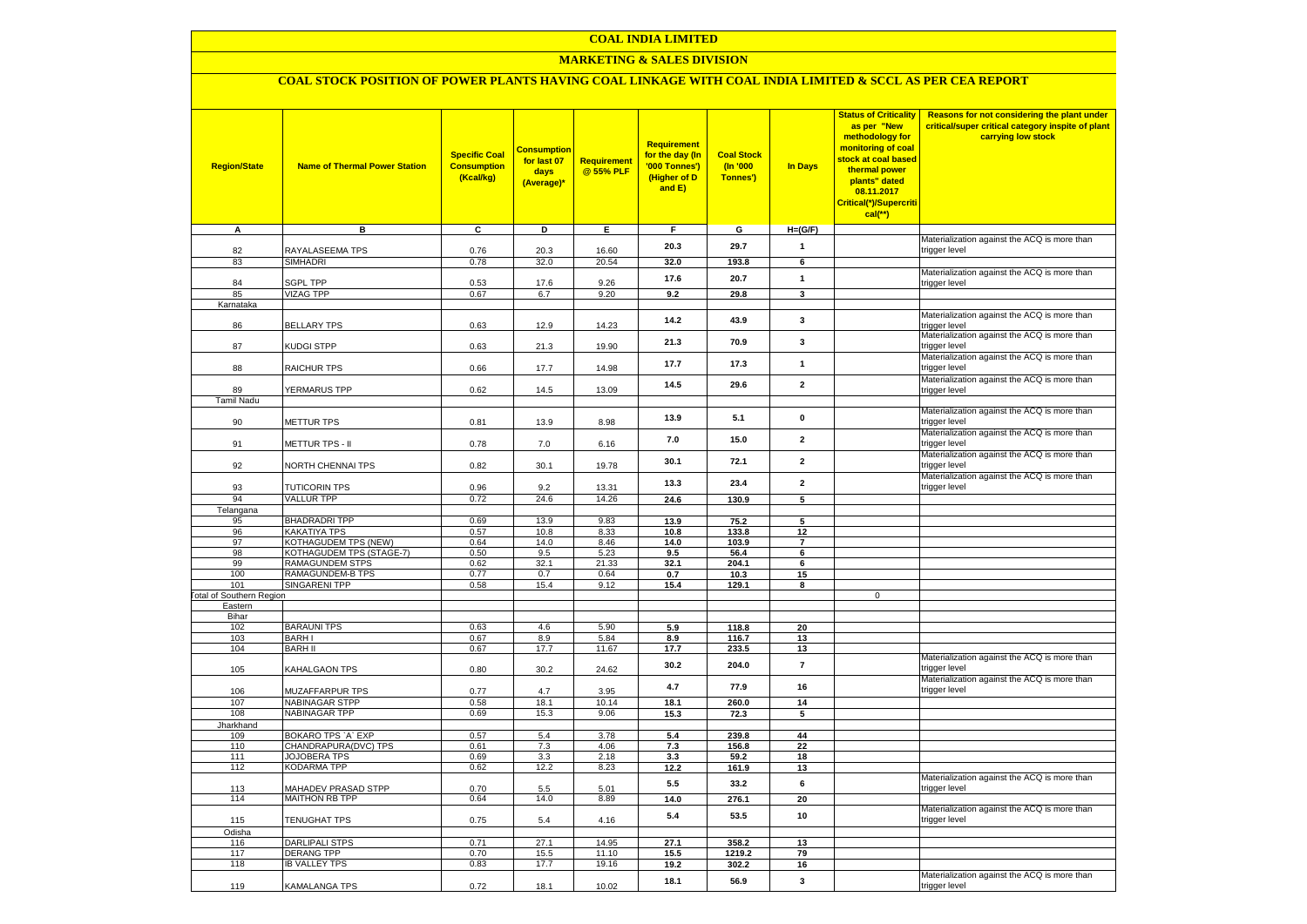## **MARKETING & SALES DIVISION**

# **COAL STOCK POSITION OF POWER PLANTS HAVING COAL LINKAGE WITH COAL INDIA LIMITED & SCCL AS PER CEA REPORT**

| <b>Region/State</b>             | <b>Name of Thermal Power Station</b> | <b>Specific Coal</b><br><b>Consumption</b><br>(Kcal/kg) | <b>Consumption</b><br>for last 07<br>days<br>(Average)* | <b>Requirement</b><br>@ 55% PLF | <b>Requirement</b><br>for the day (In<br>'000 Tonnes')<br>(Higher of D<br>and E) | <b>Coal Stock</b><br>$($ ln '000<br>Tonnes') | In Days              | <b>Status of Criticality</b><br>as per "New<br>methodology for<br>monitoring of coal<br>stock at coal based<br>thermal power<br>plants" dated<br>08.11.2017<br>Critical(*)/Supercriti<br>$cal$ (**) | Reasons for not considering the plant under<br>critical/super critical category inspite of plant<br>carrying low stock |
|---------------------------------|--------------------------------------|---------------------------------------------------------|---------------------------------------------------------|---------------------------------|----------------------------------------------------------------------------------|----------------------------------------------|----------------------|-----------------------------------------------------------------------------------------------------------------------------------------------------------------------------------------------------|------------------------------------------------------------------------------------------------------------------------|
| A                               | в                                    | c                                                       | D                                                       | Е                               | F.                                                                               | G                                            | $H=(G/F)$            |                                                                                                                                                                                                     |                                                                                                                        |
| 82                              | RAYALASEEMA TPS                      | 0.76                                                    | 20.3                                                    | 16.60                           | 20.3                                                                             | 29.7                                         | $\mathbf{1}$         |                                                                                                                                                                                                     | Materialization against the ACQ is more than                                                                           |
| 83                              | SIMHADRI                             | 0.78                                                    | 32.0                                                    | 20.54                           | 32.0                                                                             | 193.8                                        | 6                    |                                                                                                                                                                                                     | trigger level                                                                                                          |
|                                 |                                      |                                                         |                                                         |                                 |                                                                                  |                                              | $\mathbf{1}$         |                                                                                                                                                                                                     | Materialization against the ACQ is more than                                                                           |
| 84                              | <b>SGPL TPP</b>                      | 0.53                                                    | 17.6                                                    | 9.26                            | 17.6                                                                             | 20.7                                         |                      |                                                                                                                                                                                                     | trigger level                                                                                                          |
| 85<br>Karnataka                 | <b>VIZAG TPP</b>                     | 0.67                                                    | 6.7                                                     | 9.20                            | 9.2                                                                              | 29.8                                         | $\mathbf{3}$         |                                                                                                                                                                                                     |                                                                                                                        |
|                                 |                                      |                                                         |                                                         |                                 |                                                                                  |                                              |                      |                                                                                                                                                                                                     | Materialization against the ACQ is more than                                                                           |
| 86                              | <b>BELLARY TPS</b>                   | 0.63                                                    | 12.9                                                    | 14.23                           | 14.2                                                                             | 43.9                                         | 3                    |                                                                                                                                                                                                     | trigger level                                                                                                          |
| 87                              | KUDGI STPP                           | 0.63                                                    | 21.3                                                    | 19.90                           | 21.3                                                                             | 70.9                                         | 3                    |                                                                                                                                                                                                     | Materialization against the ACQ is more than<br>trigger level                                                          |
| 88                              | <b>RAICHUR TPS</b>                   | 0.66                                                    | 17.7                                                    | 14.98                           | 17.7                                                                             | 17.3                                         | $\mathbf{1}$         |                                                                                                                                                                                                     | Materialization against the ACQ is more than<br>trigger level                                                          |
| 89                              | <b>YERMARUS TPP</b>                  | 0.62                                                    | 14.5                                                    | 13.09                           | 14.5                                                                             | 29.6                                         | $\overline{2}$       |                                                                                                                                                                                                     | Materialization against the ACQ is more than                                                                           |
| <b>Tamil Nadu</b>               |                                      |                                                         |                                                         |                                 |                                                                                  |                                              |                      |                                                                                                                                                                                                     | trigger level                                                                                                          |
| 90                              | <b>METTUR TPS</b>                    | 0.81                                                    | 13.9                                                    | 8.98                            | 13.9                                                                             | 5.1                                          | $\mathbf 0$          |                                                                                                                                                                                                     | Materialization against the ACQ is more than<br>trigger level                                                          |
| 91                              | METTUR TPS - II                      | 0.78                                                    | 7.0                                                     | 6.16                            | 7.0                                                                              | 15.0                                         | $\mathbf{2}$         |                                                                                                                                                                                                     | Materialization against the ACQ is more than<br>trigger level                                                          |
| 92                              | <b>VORTH CHENNAI TPS</b>             | 0.82                                                    | 30.1                                                    | 19.78                           | 30.1                                                                             | 72.1                                         | $\overline{2}$       |                                                                                                                                                                                                     | Materialization against the ACQ is more than<br>trigger level                                                          |
| 93                              | <b>TUTICORIN TPS</b>                 | 0.96                                                    | 9.2                                                     | 13.31                           | 13.3                                                                             | 23.4                                         | $\mathbf{2}$         |                                                                                                                                                                                                     | Materialization against the ACQ is more than<br>trigger level                                                          |
| 94                              | <b>VALLUR TPP</b>                    | 0.72                                                    | 24.6                                                    | 14.26                           | 24.6                                                                             | 130.9                                        | $\overline{5}$       |                                                                                                                                                                                                     |                                                                                                                        |
| Telangana                       |                                      |                                                         |                                                         |                                 |                                                                                  |                                              |                      |                                                                                                                                                                                                     |                                                                                                                        |
| 95                              | <b>BHADRADRI TPP</b>                 | 0.69                                                    | 13.9                                                    | 9.83                            | 13.9                                                                             | 75.2                                         | 5                    |                                                                                                                                                                                                     |                                                                                                                        |
| 96<br>97                        | KAKATIYA TPS<br>KOTHAGUDEM TPS (NEW) | 0.57<br>0.64                                            | 10.8<br>14.0                                            | 8.33<br>8.46                    | 10.8<br>14.0                                                                     | 133.8<br>103.9                               | 12<br>$\overline{7}$ |                                                                                                                                                                                                     |                                                                                                                        |
| 98                              | KOTHAGUDEM TPS (STAGE-7)             | 0.50                                                    | 9.5                                                     | 5.23                            | 9.5                                                                              | 56.4                                         | 6                    |                                                                                                                                                                                                     |                                                                                                                        |
| 99                              | <b>RAMAGUNDEM STPS</b>               | 0.62                                                    | 32.1                                                    | 21.33                           | 32.1                                                                             | 204.1                                        | 6                    |                                                                                                                                                                                                     |                                                                                                                        |
| 100                             | <b>RAMAGUNDEM-B TPS</b>              | 0.77                                                    | 0.7                                                     | 0.64                            | 0.7                                                                              | 10.3                                         | 15                   |                                                                                                                                                                                                     |                                                                                                                        |
| 101                             | <b>SINGARENI TPP</b>                 | 0.58                                                    | 15.4                                                    | 9.12                            | 15.4                                                                             | 129.1                                        | 8                    |                                                                                                                                                                                                     |                                                                                                                        |
| <b>Fotal of Southern Region</b> |                                      |                                                         |                                                         |                                 |                                                                                  |                                              |                      | $\mathbf 0$                                                                                                                                                                                         |                                                                                                                        |
| Eastern<br>Bihar                |                                      |                                                         |                                                         |                                 |                                                                                  |                                              |                      |                                                                                                                                                                                                     |                                                                                                                        |
| 102                             | <b>BARAUNI TPS</b>                   | 0.63                                                    | 4.6                                                     | 5.90                            | 5.9                                                                              | 118.8                                        | 20                   |                                                                                                                                                                                                     |                                                                                                                        |
| 103                             | <b>BARHI</b>                         | 0.67                                                    | 8.9                                                     | 5.84                            | 8.9                                                                              | 116.7                                        | 13                   |                                                                                                                                                                                                     |                                                                                                                        |
| 104                             | <b>BARH II</b>                       | 0.67                                                    | 17.7                                                    | 11.67                           | 17.7                                                                             | 233.5                                        | 13                   |                                                                                                                                                                                                     |                                                                                                                        |
| 105                             | KAHALGAON TPS                        | 0.80                                                    | 30.2                                                    | 24.62                           | 30.2                                                                             | 204.0                                        | $\overline{7}$       |                                                                                                                                                                                                     | Materialization against the ACQ is more than<br>trigger level                                                          |
| 106                             | MUZAFFARPUR TPS                      | 0.77                                                    | 4.7                                                     | 3.95                            | 4.7                                                                              | 77.9                                         | 16                   |                                                                                                                                                                                                     | Materialization against the ACQ is more than<br>trigger level                                                          |
| 107                             | <b>NABINAGAR STPP</b>                | 0.58                                                    | 18.1                                                    | 10.14                           | 18.1                                                                             | 260.0                                        | 14                   |                                                                                                                                                                                                     |                                                                                                                        |
| 108<br>Jharkhand                | <b>NABINAGAR TPP</b>                 | 0.69                                                    | 15.3                                                    | 9.06                            | 15.3                                                                             | 72.3                                         | 5                    |                                                                                                                                                                                                     |                                                                                                                        |
| 109                             | BOKARO TPS `A` EXP                   | 0.57                                                    | 5.4                                                     | 3.78                            | 5.4                                                                              | 239.8                                        | 44                   |                                                                                                                                                                                                     |                                                                                                                        |
| 110                             | CHANDRAPURA(DVC) TPS                 | 0.61                                                    | 7.3                                                     | 4.06                            | 7.3                                                                              | 156.8                                        | 22                   |                                                                                                                                                                                                     |                                                                                                                        |
| 111                             | <b>JOJOBERA TPS</b>                  | 0.69                                                    | 3.3                                                     | 2.18                            | 3.3                                                                              | 59.2                                         | 18                   |                                                                                                                                                                                                     |                                                                                                                        |
| 112                             | KODARMA TPP                          | 0.62                                                    | 12.2                                                    | 8.23                            | 12.2                                                                             | 161.9                                        | 13                   |                                                                                                                                                                                                     |                                                                                                                        |
| 113                             | <b>MAHADEV PRASAD STPP</b>           | 0.70                                                    | 5.5                                                     | 5.01                            | 5.5                                                                              | 33.2                                         | 6                    |                                                                                                                                                                                                     | Materialization against the ACQ is more than<br>trigger level                                                          |
| 114                             | <b>MAITHON RB TPP</b>                | 0.64                                                    | 14.0                                                    | 8.89                            | 14.0                                                                             | 276.1                                        | 20                   |                                                                                                                                                                                                     | Materialization against the ACQ is more than                                                                           |
| 115                             | TENUGHAT TPS                         | 0.75                                                    | 5.4                                                     | 4.16                            | 5.4                                                                              | 53.5                                         | 10                   |                                                                                                                                                                                                     | trigger level                                                                                                          |
| Odisha<br>116                   | <b>DARLIPALI STPS</b>                | 0.71                                                    | 27.1                                                    | 14.95                           | 27.1                                                                             | 358.2                                        | 13                   |                                                                                                                                                                                                     |                                                                                                                        |
| 117                             | <b>DERANG TPP</b>                    | 0.70                                                    | 15.5                                                    | 11.10                           | 15.5                                                                             | 1219.2                                       | 79                   |                                                                                                                                                                                                     |                                                                                                                        |
| 118                             | <b>IB VALLEY TPS</b>                 | 0.83                                                    | 17.7                                                    | 19.16                           | 19.2                                                                             | 302.2                                        | 16                   |                                                                                                                                                                                                     |                                                                                                                        |
|                                 |                                      |                                                         |                                                         |                                 | 18.1                                                                             | 56.9                                         | 3                    |                                                                                                                                                                                                     | Materialization against the ACQ is more than                                                                           |
| 119                             | KAMALANGA TPS                        | 0.72                                                    | 18.1                                                    | 10.02                           |                                                                                  |                                              |                      |                                                                                                                                                                                                     | trigger level                                                                                                          |